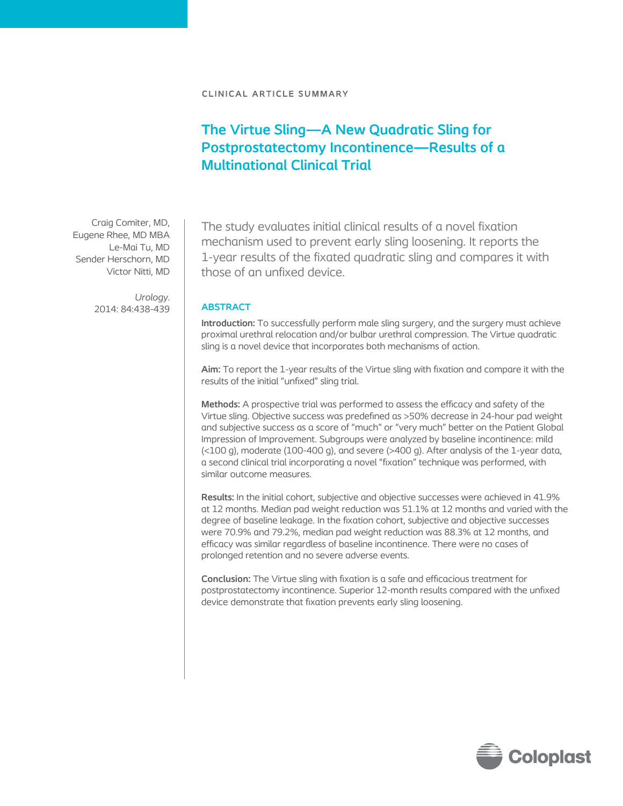# **The Virtue Sling—A New Quadratic Sling for Postprostatectomy Incontinence—Results of a Multinational Clinical Trial**

Craig Comiter, MD, Eugene Rhee, MD MBA Le-Mai Tu, MD Sender Herschorn, MD Victor Nitti, MD

> *Urology.* 2014: 84:438-439

## The study evaluates initial clinical results of a novel fixation mechanism used to prevent early sling loosening. It reports the 1-year results of the fixated quadratic sling and compares it with those of an unfixed device.

## **ABSTRACT**

**Introduction:** To successfully perform male sling surgery, and the surgery must achieve proximal urethral relocation and/or bulbar urethral compression. The Virtue quadratic sling is a novel device that incorporates both mechanisms of action.

**Aim:** To report the 1-year results of the Virtue sling with fixation and compare it with the results of the initial "unfixed" sling trial.

**Methods:** A prospective trial was performed to assess the efficacy and safety of the Virtue sling. Objective success was predefined as >50% decrease in 24-hour pad weight and subjective success as a score of "much" or "very much" better on the Patient Global Impression of Improvement. Subgroups were analyzed by baseline incontinence: mild  $($ <100 g), moderate  $(100-400)$  g), and severe  $($ >400 g). After analysis of the 1-year data, a second clinical trial incorporating a novel "fixation" technique was performed, with similar outcome measures.

**Results:** In the initial cohort, subjective and objective successes were achieved in 41.9% at 12 months. Median pad weight reduction was 51.1% at 12 months and varied with the degree of baseline leakage. In the fixation cohort, subjective and objective successes were 70.9% and 79.2%, median pad weight reduction was 88.3% at 12 months, and efficacy was similar regardless of baseline incontinence. There were no cases of prolonged retention and no severe adverse events.

**Conclusion:** The Virtue sling with fixation is a safe and efficacious treatment for postprostatectomy incontinence. Superior 12-month results compared with the unfixed device demonstrate that fixation prevents early sling loosening.